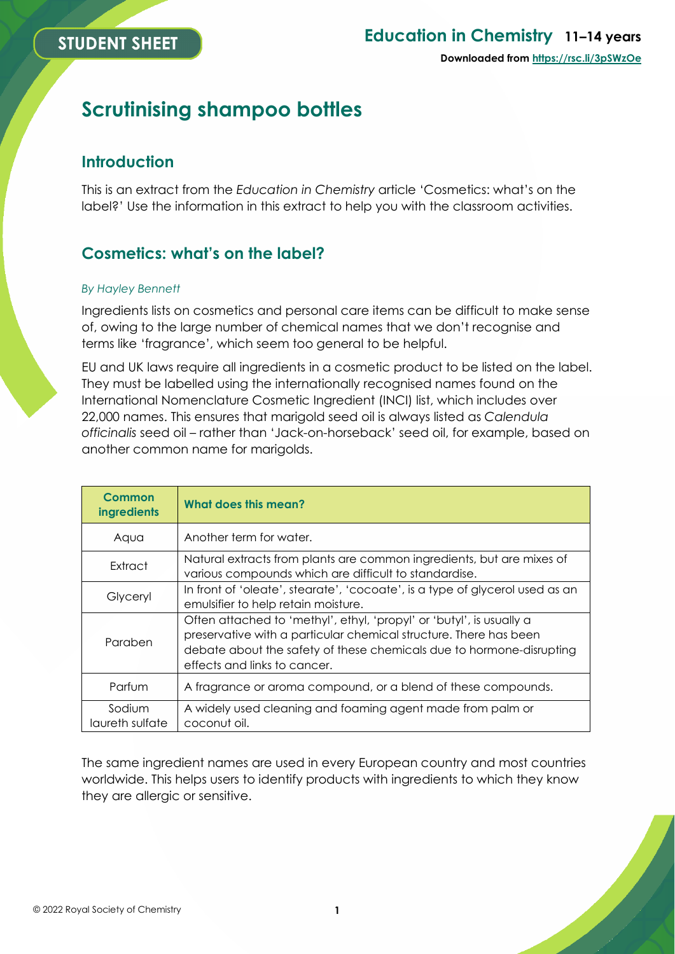# **Scrutinising shampoo bottles**

## **Introduction**

This is an extract from the *Education in Chemistry* article 'Cosmetics: what's on the label?' Use the information in this extract to help you with the classroom activities.

# **Cosmetics: what's on the label?**

#### *By Hayley Bennett*

Ingredients lists on cosmetics and personal care items can be difficult to make sense of, owing to the large number of chemical names that we don't recognise and terms like 'fragrance', which seem too general to be helpful.

EU and UK laws require all ingredients in a cosmetic product to be listed on the label. They must be labelled using the internationally recognised names found on the International Nomenclature Cosmetic Ingredient (INCI) list, which includes over 22,000 names. This ensures that marigold seed oil is always listed as *Calendula officinalis* seed oil – rather than 'Jack-on-horseback' seed oil, for example, based on another common name for marigolds.

| Common<br>ingredients     | What does this mean?                                                                                                                                                                                                                              |
|---------------------------|---------------------------------------------------------------------------------------------------------------------------------------------------------------------------------------------------------------------------------------------------|
| Aqua                      | Another term for water.                                                                                                                                                                                                                           |
| Extract                   | Natural extracts from plants are common ingredients, but are mixes of<br>various compounds which are difficult to standardise.                                                                                                                    |
| Glyceryl                  | In front of 'oleate', stearate', 'cocoate', is a type of glycerol used as an<br>emulsifier to help retain moisture.                                                                                                                               |
| Paraben                   | Often attached to 'methyl', ethyl, 'propyl' or 'butyl', is usually a<br>preservative with a particular chemical structure. There has been<br>debate about the safety of these chemicals due to hormone-disrupting<br>effects and links to cancer. |
| Parfum                    | A fragrance or aroma compound, or a blend of these compounds.                                                                                                                                                                                     |
| Sodium<br>laureth sulfate | A widely used cleaning and foaming agent made from palm or<br>coconut oil.                                                                                                                                                                        |

The same ingredient names are used in every European country and most countries worldwide. This helps users to identify products with ingredients to which they know they are allergic or sensitive.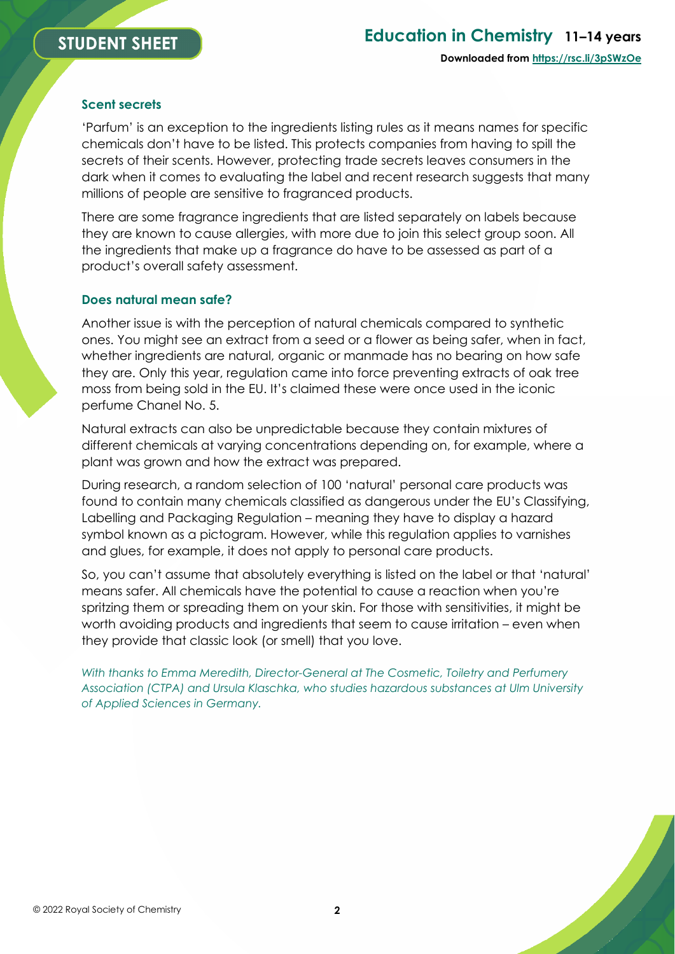#### **Scent secrets**

'Parfum' is an exception to the ingredients listing rules as it means names for specific chemicals don't have to be listed. This protects companies from having to spill the secrets of their scents. However, protecting trade secrets leaves consumers in the dark when it comes to evaluating the label and recent research suggests that many millions of people are sensitive to fragranced products.

There are some fragrance ingredients that are listed separately on labels because they are known to cause allergies, with more due to join this select group soon. All the ingredients that make up a fragrance do have to be assessed as part of a product's overall safety assessment.

#### **Does natural mean safe?**

Another issue is with the perception of natural chemicals compared to synthetic ones. You might see an extract from a seed or a flower as being safer, when in fact, whether ingredients are natural, organic or manmade has no bearing on how safe they are. Only this year, regulation came into force preventing extracts of oak tree moss from being sold in the EU. It's claimed these were once used in the iconic perfume Chanel No. 5.

Natural extracts can also be unpredictable because they contain mixtures of different chemicals at varying concentrations depending on, for example, where a plant was grown and how the extract was prepared.

During research, a random selection of 100 'natural' personal care products was found to contain many chemicals classified as dangerous under the EU's Classifying, Labelling and Packaging Regulation – meaning they have to display a hazard symbol known as a pictogram. However, while this regulation applies to varnishes and glues, for example, it does not apply to personal care products.

So, you can't assume that absolutely everything is listed on the label or that 'natural' means safer. All chemicals have the potential to cause a reaction when you're spritzing them or spreading them on your skin. For those with sensitivities, it might be worth avoiding products and ingredients that seem to cause irritation – even when they provide that classic look (or smell) that you love.

*With thanks to Emma Meredith, Director-General at The Cosmetic, Toiletry and Perfumery Association (CTPA) and Ursula Klaschka, who studies hazardous substances at Ulm University of Applied Sciences in Germany.*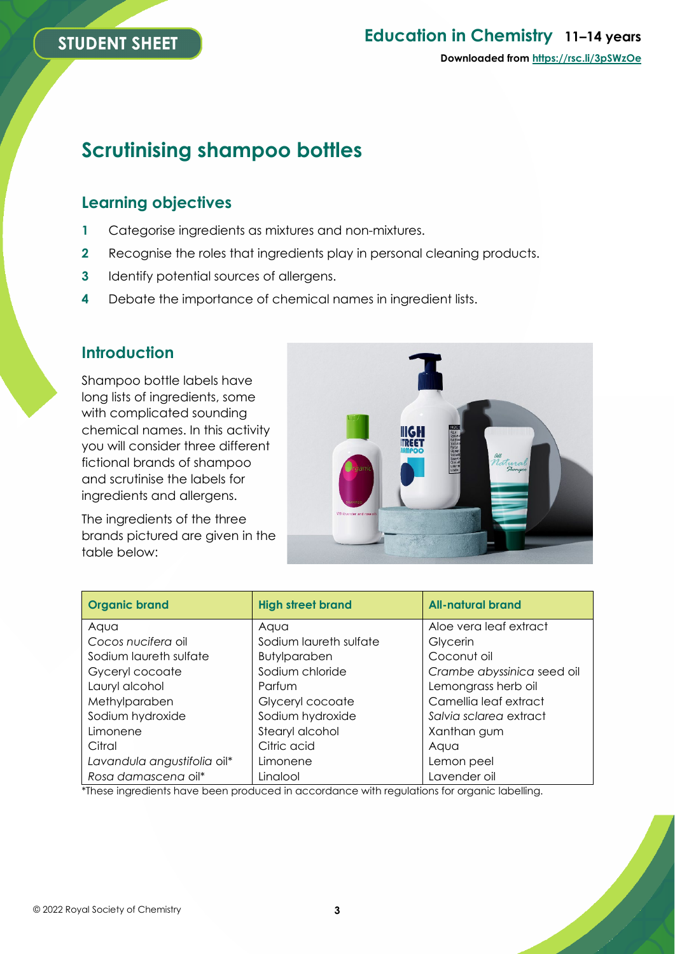# **STUDENT SHEET**

# **Education in Chemistry 11–14 years Downloaded from [https://rsc.li/3pSWzOe](https://rsc.li/3l0g6sR)**

# **Scrutinising shampoo bottles**

### **Learning objectives**

- **1** Categorise ingredients as mixtures and non-mixtures.
- **2** Recognise the roles that ingredients play in personal cleaning products.
- **3** Identify potential sources of allergens.
- **4** Debate the importance of chemical names in ingredient lists.

### **Introduction**

Shampoo bottle labels have long lists of ingredients, some with complicated sounding chemical names. In this activity you will consider three different fictional brands of shampoo and scrutinise the labels for ingredients and allergens.

The ingredients of the three brands pictured are given in the table below:



| <b>Organic brand</b>        | <b>High street brand</b> | <b>All-natural brand</b>   |
|-----------------------------|--------------------------|----------------------------|
| Aqua                        | Aqua                     | Aloe vera leaf extract     |
| Cocos nucifera oil          | Sodium laureth sulfate   | Glycerin                   |
| Sodium laureth sulfate      | <b>Butylparaben</b>      | Coconut oil                |
| Gyceryl cocoate             | Sodium chloride          | Crambe abyssinica seed oil |
| Lauryl alcohol              | Parfum                   | Lemongrass herb oil        |
| Methylparaben               | Glyceryl cocoate         | Camellia leaf extract      |
| Sodium hydroxide            | Sodium hydroxide         | Salvia sclarea extract     |
| Limonene                    | Stearyl alcohol          | Xanthan gum                |
| Citral                      | Citric acid              | Aaua                       |
| Lavandula angustifolia oil* | Limonene                 | Lemon peel                 |
| Rosa damascena oil*         | Linalool                 | Lavender oil               |

\*These ingredients have been produced in accordance with regulations for organic labelling.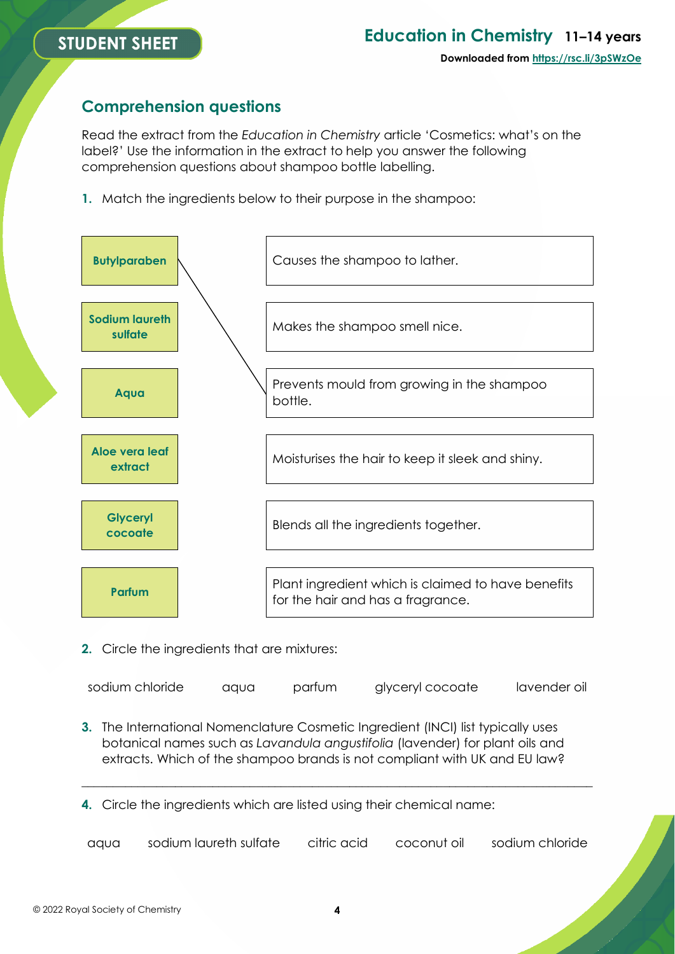# **STUDENT SHEET**

# **Education in Chemistry 11–14 years**

### **Comprehension questions**

Read the extract from the *Education in Chemistry* article 'Cosmetics: what's on the label?' Use the information in the extract to help you answer the following comprehension questions about shampoo bottle labelling.

**1.** Match the ingredients below to their purpose in the shampoo:



**2.** Circle the ingredients that are mixtures:

| sodium chloride<br>glyceryl cocoate<br>parfum<br>aqua | lavender oil |
|-------------------------------------------------------|--------------|
|-------------------------------------------------------|--------------|

**3.** The International Nomenclature Cosmetic Ingredient (INCI) list typically uses botanical names such as *Lavandula angustifolia* (lavender) for plant oils and extracts. Which of the shampoo brands is not compliant with UK and EU law?

**4.** Circle the ingredients which are listed using their chemical name:

aqua sodium laureth sulfate citric acid coconut oil sodium chloride

\_\_\_\_\_\_\_\_\_\_\_\_\_\_\_\_\_\_\_\_\_\_\_\_\_\_\_\_\_\_\_\_\_\_\_\_\_\_\_\_\_\_\_\_\_\_\_\_\_\_\_\_\_\_\_\_\_\_\_\_\_\_\_\_\_\_\_\_\_\_\_\_\_\_\_\_\_\_\_\_\_\_